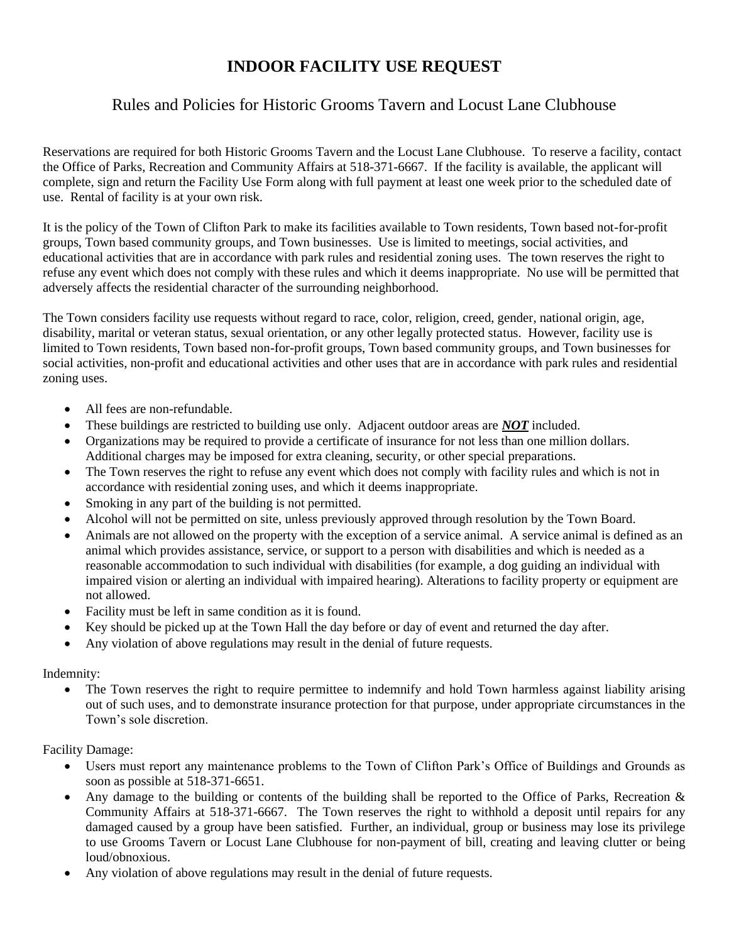# **INDOOR FACILITY USE REQUEST**

## Rules and Policies for Historic Grooms Tavern and Locust Lane Clubhouse

Reservations are required for both Historic Grooms Tavern and the Locust Lane Clubhouse. To reserve a facility, contact the Office of Parks, Recreation and Community Affairs at 518-371-6667. If the facility is available, the applicant will complete, sign and return the Facility Use Form along with full payment at least one week prior to the scheduled date of use. Rental of facility is at your own risk.

It is the policy of the Town of Clifton Park to make its facilities available to Town residents, Town based not-for-profit groups, Town based community groups, and Town businesses. Use is limited to meetings, social activities, and educational activities that are in accordance with park rules and residential zoning uses. The town reserves the right to refuse any event which does not comply with these rules and which it deems inappropriate. No use will be permitted that adversely affects the residential character of the surrounding neighborhood.

The Town considers facility use requests without regard to race, color, religion, creed, gender, national origin, age, disability, marital or veteran status, sexual orientation, or any other legally protected status. However, facility use is limited to Town residents, Town based non-for-profit groups, Town based community groups, and Town businesses for social activities, non-profit and educational activities and other uses that are in accordance with park rules and residential zoning uses.

- All fees are non-refundable.
- These buildings are restricted to building use only. Adjacent outdoor areas are *NOT* included.
- Organizations may be required to provide a certificate of insurance for not less than one million dollars. Additional charges may be imposed for extra cleaning, security, or other special preparations.
- The Town reserves the right to refuse any event which does not comply with facility rules and which is not in accordance with residential zoning uses, and which it deems inappropriate.
- Smoking in any part of the building is not permitted.
- Alcohol will not be permitted on site, unless previously approved through resolution by the Town Board.
- Animals are not allowed on the property with the exception of a service animal. A service animal is defined as an animal which provides assistance, service, or support to a person with disabilities and which is needed as a reasonable accommodation to such individual with disabilities (for example, a dog guiding an individual with impaired vision or alerting an individual with impaired hearing). Alterations to facility property or equipment are not allowed.
- Facility must be left in same condition as it is found.
- Key should be picked up at the Town Hall the day before or day of event and returned the day after.
- Any violation of above regulations may result in the denial of future requests.

### Indemnity:

The Town reserves the right to require permittee to indemnify and hold Town harmless against liability arising out of such uses, and to demonstrate insurance protection for that purpose, under appropriate circumstances in the Town's sole discretion.

### Facility Damage:

- Users must report any maintenance problems to the Town of Clifton Park's Office of Buildings and Grounds as soon as possible at 518-371-6651.
- Any damage to the building or contents of the building shall be reported to the Office of Parks, Recreation & Community Affairs at 518-371-6667. The Town reserves the right to withhold a deposit until repairs for any damaged caused by a group have been satisfied. Further, an individual, group or business may lose its privilege to use Grooms Tavern or Locust Lane Clubhouse for non-payment of bill, creating and leaving clutter or being loud/obnoxious.
- Any violation of above regulations may result in the denial of future requests.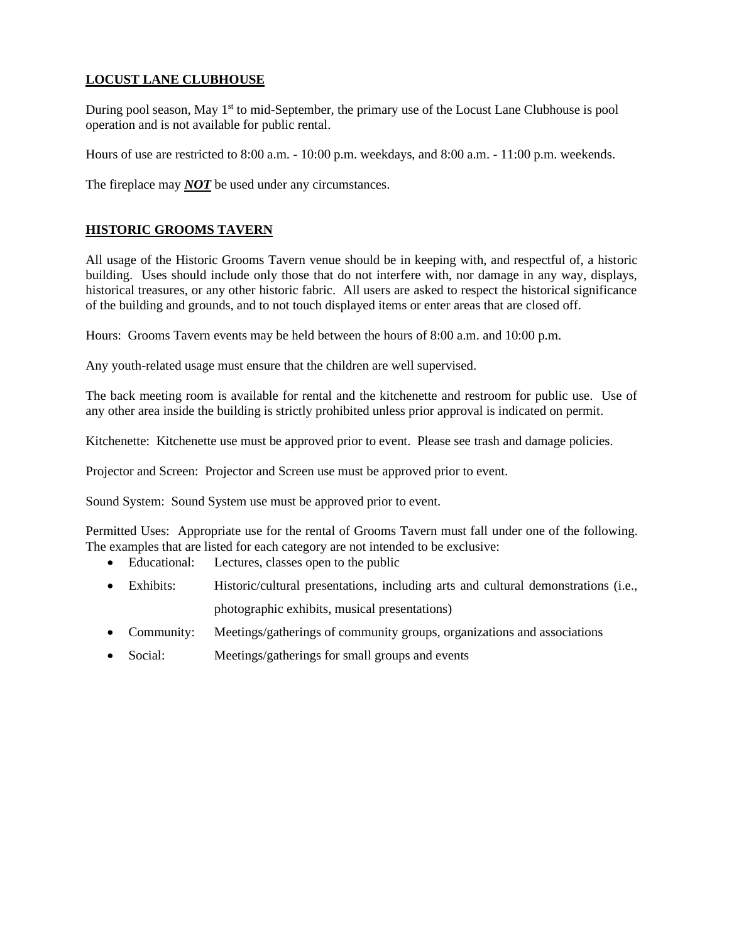## **LOCUST LANE CLUBHOUSE**

During pool season, May  $1<sup>st</sup>$  to mid-September, the primary use of the Locust Lane Clubhouse is pool operation and is not available for public rental.

Hours of use are restricted to 8:00 a.m. - 10:00 p.m. weekdays, and 8:00 a.m. - 11:00 p.m. weekends.

The fireplace may *NOT* be used under any circumstances.

## **HISTORIC GROOMS TAVERN**

All usage of the Historic Grooms Tavern venue should be in keeping with, and respectful of, a historic building. Uses should include only those that do not interfere with, nor damage in any way, displays, historical treasures, or any other historic fabric. All users are asked to respect the historical significance of the building and grounds, and to not touch displayed items or enter areas that are closed off.

Hours: Grooms Tavern events may be held between the hours of 8:00 a.m. and 10:00 p.m.

Any youth-related usage must ensure that the children are well supervised.

The back meeting room is available for rental and the kitchenette and restroom for public use. Use of any other area inside the building is strictly prohibited unless prior approval is indicated on permit.

Kitchenette: Kitchenette use must be approved prior to event. Please see trash and damage policies.

Projector and Screen: Projector and Screen use must be approved prior to event.

Sound System: Sound System use must be approved prior to event.

Permitted Uses: Appropriate use for the rental of Grooms Tavern must fall under one of the following. The examples that are listed for each category are not intended to be exclusive:

- Educational: Lectures, classes open to the public
- Exhibits: Historic/cultural presentations, including arts and cultural demonstrations (i.e., photographic exhibits, musical presentations)
- Community: Meetings/gatherings of community groups, organizations and associations
- Social: Meetings/gatherings for small groups and events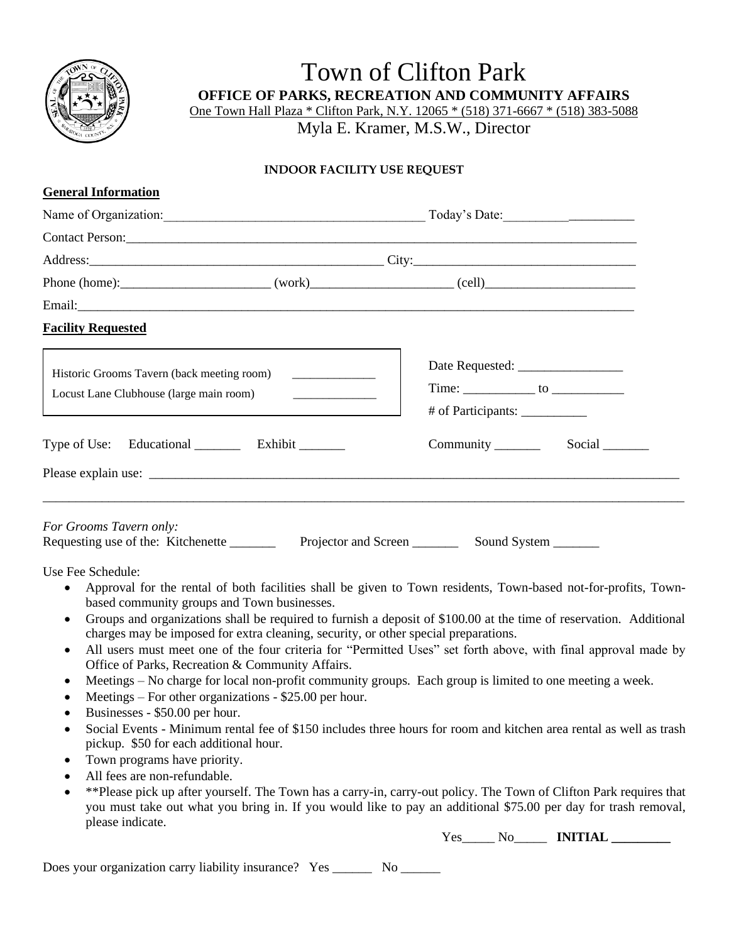

**General Information**

Town of Clifton Park **OFFICE OF PARKS, RECREATION AND COMMUNITY AFFAIRS** One Town Hall Plaza \* Clifton Park, N.Y. 12065 \* (518) 371-6667 \* (518) 383-5088

Myla E. Kramer, M.S.W., Director

## **INDOOR FACILITY USE REQUEST**

| Ocherar mnormation                                                                                                                                                                                                                                                                                                                                                                                                                                                                                                                                                                                                              |                                              |  |  |
|---------------------------------------------------------------------------------------------------------------------------------------------------------------------------------------------------------------------------------------------------------------------------------------------------------------------------------------------------------------------------------------------------------------------------------------------------------------------------------------------------------------------------------------------------------------------------------------------------------------------------------|----------------------------------------------|--|--|
|                                                                                                                                                                                                                                                                                                                                                                                                                                                                                                                                                                                                                                 |                                              |  |  |
| Contact Person: Note and the contract of the contract of the contract of the contract of the contract of the contract of the contract of the contract of the contract of the contract of the contract of the contract of the c                                                                                                                                                                                                                                                                                                                                                                                                  |                                              |  |  |
|                                                                                                                                                                                                                                                                                                                                                                                                                                                                                                                                                                                                                                 |                                              |  |  |
|                                                                                                                                                                                                                                                                                                                                                                                                                                                                                                                                                                                                                                 |                                              |  |  |
|                                                                                                                                                                                                                                                                                                                                                                                                                                                                                                                                                                                                                                 |                                              |  |  |
| <b>Facility Requested</b>                                                                                                                                                                                                                                                                                                                                                                                                                                                                                                                                                                                                       |                                              |  |  |
| Historic Grooms Tavern (back meeting room)<br>$\begin{array}{cccccccccc} \multicolumn{2}{c}{} & \multicolumn{2}{c}{} & \multicolumn{2}{c}{} & \multicolumn{2}{c}{} & \multicolumn{2}{c}{} & \multicolumn{2}{c}{} & \multicolumn{2}{c}{} & \multicolumn{2}{c}{} & \multicolumn{2}{c}{} & \multicolumn{2}{c}{} & \multicolumn{2}{c}{} & \multicolumn{2}{c}{} & \multicolumn{2}{c}{} & \multicolumn{2}{c}{} & \multicolumn{2}{c}{} & \multicolumn{2}{c}{} & \multicolumn{2}{c}{} & \multicolumn{2}{c}{} & \multicolumn{2}{c}{} & \mult$<br>Locust Lane Clubhouse (large main room)<br><u> 1980 - Jan Barbarat, politik eta pro</u> | # of Participants: ___________               |  |  |
| Type of Use: Educational __________ Exhibit ________                                                                                                                                                                                                                                                                                                                                                                                                                                                                                                                                                                            | Community _______<br>Social                  |  |  |
|                                                                                                                                                                                                                                                                                                                                                                                                                                                                                                                                                                                                                                 |                                              |  |  |
| For Grooms Tavern only:<br>Requesting use of the: Kitchenette                                                                                                                                                                                                                                                                                                                                                                                                                                                                                                                                                                   | Projector and Screen<br>Sound System _______ |  |  |

Use Fee Schedule:

- Approval for the rental of both facilities shall be given to Town residents, Town-based not-for-profits, Townbased community groups and Town businesses.
- Groups and organizations shall be required to furnish a deposit of \$100.00 at the time of reservation. Additional charges may be imposed for extra cleaning, security, or other special preparations.
- All users must meet one of the four criteria for "Permitted Uses" set forth above, with final approval made by Office of Parks, Recreation & Community Affairs.
- Meetings No charge for local non-profit community groups. Each group is limited to one meeting a week.
- Meetings For other organizations \$25.00 per hour.
- Businesses \$50.00 per hour.
- Social Events Minimum rental fee of \$150 includes three hours for room and kitchen area rental as well as trash pickup. \$50 for each additional hour.
- Town programs have priority.
- All fees are non-refundable.
- \*\*Please pick up after yourself. The Town has a carry-in, carry-out policy. The Town of Clifton Park requires that you must take out what you bring in. If you would like to pay an additional \$75.00 per day for trash removal, please indicate.

Yes\_\_\_\_\_ No\_\_\_\_\_ **INITIAL \_\_\_\_\_\_\_\_\_**

Does your organization carry liability insurance? Yes \_\_\_\_\_\_\_\_ No \_\_\_\_\_\_\_\_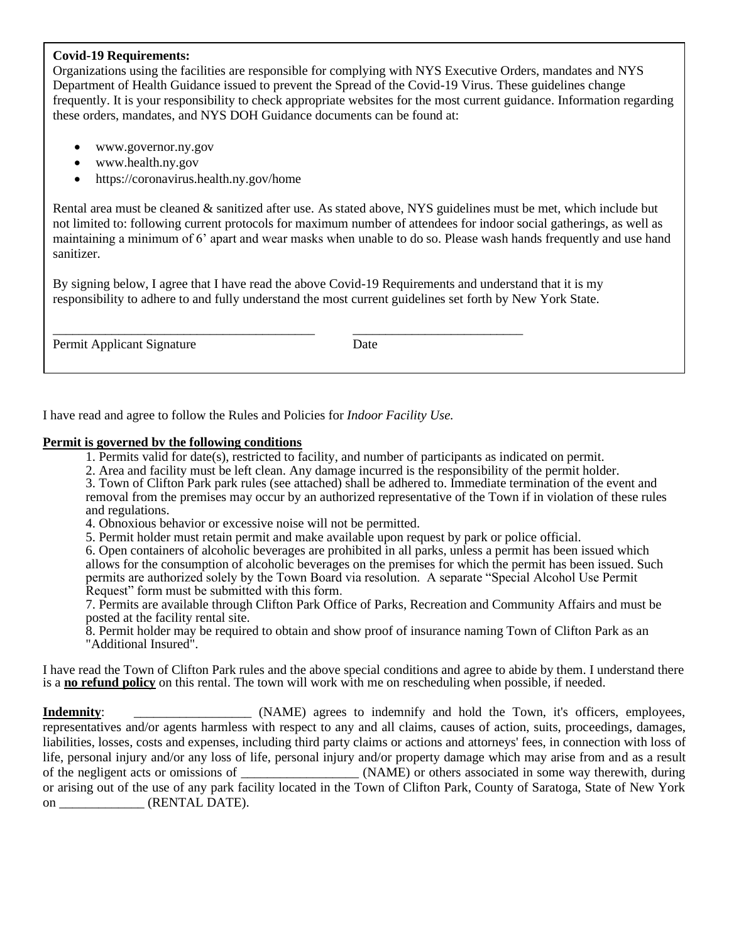## **Covid-19 Requirements:**

Organizations using the facilities are responsible for complying with NYS Executive Orders, mandates and NYS Department of Health Guidance issued to prevent the Spread of the Covid-19 Virus. These guidelines change frequently. It is your responsibility to check appropriate websites for the most current guidance. Information regarding these orders, mandates, and NYS DOH Guidance documents can be found at:

- www.governor.ny.gov
- www.health.ny.gov
- https://coronavirus.health.ny.gov/home

Rental area must be cleaned & sanitized after use. As stated above, NYS guidelines must be met, which include but not limited to: following current protocols for maximum number of attendees for indoor social gatherings, as well as maintaining a minimum of 6' apart and wear masks when unable to do so. Please wash hands frequently and use hand sanitizer.

By signing below, I agree that I have read the above Covid-19 Requirements and understand that it is my responsibility to adhere to and fully understand the most current guidelines set forth by New York State.

\_\_\_\_\_\_\_\_\_\_\_\_\_\_\_\_\_\_\_\_\_\_\_\_\_\_\_\_\_\_\_\_\_\_\_\_\_\_\_\_ \_\_\_\_\_\_\_\_\_\_\_\_\_\_\_\_\_\_\_\_\_\_\_\_\_\_

Permit Applicant Signature Date

I have read and agree to follow the Rules and Policies for *Indoor Facility Use.*

### **Permit is governed bv the following conditions**

- 1. Permits valid for date(s), restricted to facility, and number of participants as indicated on permit.
- 2. Area and facility must be left clean. Any damage incurred is the responsibility of the permit holder.

3. Town of Clifton Park park rules (see attached) shall be adhered to. Immediate termination of the event and removal from the premises may occur by an authorized representative of the Town if in violation of these rules and regulations.

4. Obnoxious behavior or excessive noise will not be permitted.

5. Permit holder must retain permit and make available upon request by park or police official.

6. Open containers of alcoholic beverages are prohibited in all parks, unless a permit has been issued which allows for the consumption of alcoholic beverages on the premises for which the permit has been issued. Such permits are authorized solely by the Town Board via resolution. A separate "Special Alcohol Use Permit Request" form must be submitted with this form.

7. Permits are available through Clifton Park Office of Parks, Recreation and Community Affairs and must be posted at the facility rental site.

8. Permit holder may be required to obtain and show proof of insurance naming Town of Clifton Park as an "Additional Insured".

I have read the Town of Clifton Park rules and the above special conditions and agree to abide by them. I understand there is a **no refund policy** on this rental. The town will work with me on rescheduling when possible, if needed.

**Indemnity**: \_\_\_\_\_\_\_\_\_\_\_\_\_\_\_\_\_\_\_ (NAME) agrees to indemnify and hold the Town, it's officers, employees, representatives and/or agents harmless with respect to any and all claims, causes of action, suits, proceedings, damages, liabilities, losses, costs and expenses, including third party claims or actions and attorneys' fees, in connection with loss of life, personal injury and/or any loss of life, personal injury and/or property damage which may arise from and as a result of the negligent acts or omissions of \_\_\_\_\_\_\_\_\_\_\_\_\_\_\_\_\_\_ (NAME) or others associated in some way therewith, during or arising out of the use of any park facility located in the Town of Clifton Park, County of Saratoga, State of New York on (RENTAL DATE).